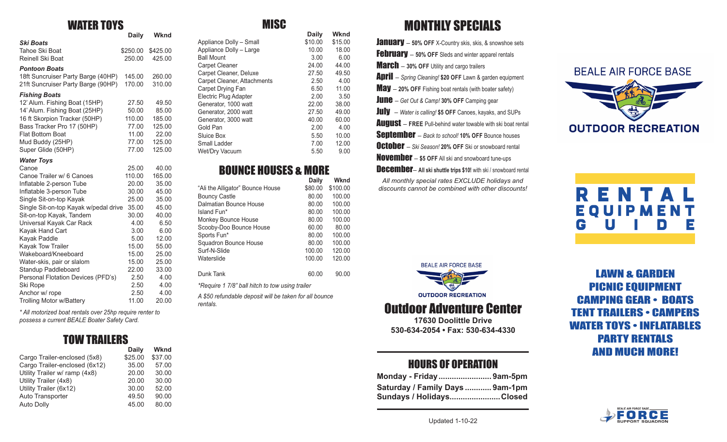### WATER TOYS

|                                       | <b>Daily</b> | Wknd     |  |
|---------------------------------------|--------------|----------|--|
| <b>Ski Boats</b>                      |              |          |  |
| Tahoe Ski Boat                        | \$250.00     | \$425.00 |  |
| Reinell Ski Boat                      | 250.00       | 425.00   |  |
| <b>Pontoon Boats</b>                  |              |          |  |
| 18ft Suncruiser Party Barge (40HP)    | 145.00       | 260.00   |  |
| 21ft Suncruiser Party Barge (90HP)    | 170.00       | 310.00   |  |
| <b>Fishing Boats</b>                  |              |          |  |
| 12' Alum. Fishing Boat (15HP)         | 27.50        | 49.50    |  |
| 14' Alum. Fishing Boat (25HP)         | 50.00        | 85.00    |  |
| 16 ft Skorpion Tracker (50HP)         | 110.00       | 185.00   |  |
| Bass Tracker Pro 17 (50HP)            | 77.00        | 125.00   |  |
| <b>Flat Bottom Boat</b>               | 11.00        | 22.00    |  |
| Mud Buddy (25HP)                      | 77.00        | 125.00   |  |
| Super Glide (50HP)                    | 77.00        | 125.00   |  |
| <b>Water Toys</b>                     |              |          |  |
| Canoe                                 | 25.00        | 40.00    |  |
| Canoe Trailer w/ 6 Canoes             | 110.00       | 165.00   |  |
| Inflatable 2-person Tube              | 20.00        | 35.00    |  |
| Inflatable 3-person Tube              | 30.00        | 45.00    |  |
| Single Sit-on-top Kayak               | 25.00        | 35.00    |  |
| Single Sit-on-top Kayak w/pedal drive | 35.00        | 45.00    |  |
| Sit-on-top Kayak, Tandem              | 30.00        | 40.00    |  |
| Universal Kayak Car Rack              | 4.00         | 6.50     |  |
| Kayak Hand Cart                       | 3.00         | 6.00     |  |
| Kayak Paddle                          | 5.00         | 12.00    |  |
| <b>Kayak Tow Trailer</b>              | 15.00        | 55.00    |  |
| Wakeboard/Kneeboard                   | 15.00        | 25.00    |  |
| Water-skis, pair or slalom            | 15.00        | 25.00    |  |
| Standup Paddleboard                   | 22.00        | 33.00    |  |
| Personal Flotation Devices (PFD's)    | 2.50         | 4.00     |  |
| Ski Rope                              | 2.50         | 4.00     |  |
| Anchor w/ rope                        | 2.50         | 4.00     |  |
| <b>Trolling Motor w/Battery</b>       | 11.00        | 20.00    |  |

*\* All motorized boat rentals over 25hp require renter to possess a current BEALE Boater Safety Card.*

## TOW TRAILERS

|                               | <b>Daily</b> | Wknd    |
|-------------------------------|--------------|---------|
| Cargo Trailer-enclosed (5x8)  | \$25.00      | \$37.00 |
| Cargo Trailer-enclosed (6x12) | 35.00        | 57.00   |
| Utility Trailer w/ ramp (4x8) | 20.00        | 30.00   |
| Utility Trailer (4x8)         | 20.00        | 30.00   |
| Utility Trailer (6x12)        | 30.00        | 52.00   |
| Auto Transporter              | 49.50        | 90.00   |
| Auto Dolly                    | 45.00        | 80.00   |

### **MISC**

|                             | <b>Daily</b> | Wknd    |
|-----------------------------|--------------|---------|
| Appliance Dolly - Small     | \$10.00      | \$15.00 |
| Appliance Dolly - Large     | 10.00        | 18.00   |
| <b>Ball Mount</b>           | 3.00         | 6.00    |
| <b>Carpet Cleaner</b>       | 24.00        | 44.00   |
| Carpet Cleaner, Deluxe      | 27.50        | 49.50   |
| Carpet Cleaner, Attachments | 2.50         | 4.00    |
| Carpet Drying Fan           | 6.50         | 11.00   |
| Electric Plug Adapter       | 2.00         | 3.50    |
| Generator, 1000 watt        | 22.00        | 38.00   |
| Generator, 2000 watt        | 27.50        | 49.00   |
| Generator, 3000 watt        | 40.00        | 60.00   |
| Gold Pan                    | 2.00         | 4.00    |
| Sluice Box                  | 5.50         | 10.00   |
| Small Ladder                | 7.00         | 12.00   |
| <b>Wet/Dry Vacuum</b>       | 5.50         | 9.00    |

### BOUNCE HOUSES & MORE

|                                                 | Daily   | Wknd     |
|-------------------------------------------------|---------|----------|
| "Ali the Alligator" Bounce House                | \$80.00 | \$100.00 |
| <b>Bouncy Castle</b>                            | 80.00   | 100.00   |
| Dalmatian Bounce House                          | 80.00   | 100.00   |
| Island Fun*                                     | 80.00   | 100.00   |
| Monkey Bounce House                             | 80.00   | 100.00   |
| Scooby-Doo Bounce House                         | 60.00   | 80.00    |
| Sports Fun*                                     | 80.00   | 100.00   |
| Squadron Bounce House                           | 80.00   | 100.00   |
| Surf-N-Slide                                    | 100.00  | 120.00   |
| Waterslide                                      | 100.00  | 120.00   |
| Dunk Tank                                       | 60.00   | 90.00    |
| *Require 1 7/8" ball hitch to tow using trailer |         |          |
|                                                 |         |          |

*A \$50 refundable deposit will be taken for all bounce rentals.*

# MONTHLY SPECIALS

**January** - 50% OFF X-Country skis, skis, & snowshoe sets **February** – 50% OFF Sleds and winter apparel rentals **March** - 30% OFF Utility and cargo trailers April – *Spring Cleaning!* **\$20 OFF** Lawn & garden equipment **May** - 20% OFF Fishing boat rentals (with boater safety) June – *Get Out & Camp!* **30% OFF** Camping gear July– *Water is calling!* **\$5 OFF** Canoes, kayaks, and SUPs **August** – FREE Pull-behind water towable with ski boat rental **Sentember** – Back to school! 10% OFF Bounce houses **October** – *Ski Season!* 20% OFF Ski or snowboard rental **November** - \$5 OFF All ski and snowboard tune-ups **December- All ski shuttle trips \$10!** with ski / snowboard rental *All monthly special rates EXCLUDE holidays and discounts cannot be combined with other discounts!*



# RENTAL EQUIPMENT<br>G U I D E <u>GUIDE</u>





### Outdoor Adventure Center

**17630 Doolittle Drive 530-634-2054 • Fax: 530-634-4330**

### HOURS OF OPERATION

| Monday - Friday9am-5pm          |  |
|---------------------------------|--|
| Saturday / Family Days  9am-1pm |  |
| Sundays / HolidaysClosed        |  |

LAWN & GARDEN PICNIC EQUIPMENT CAMPING GEAR • BOATS TENT TRAILERS • CAMPERS WATER TOYS • INFLATABLES PARTY RENTALS AND MUCH MORE!